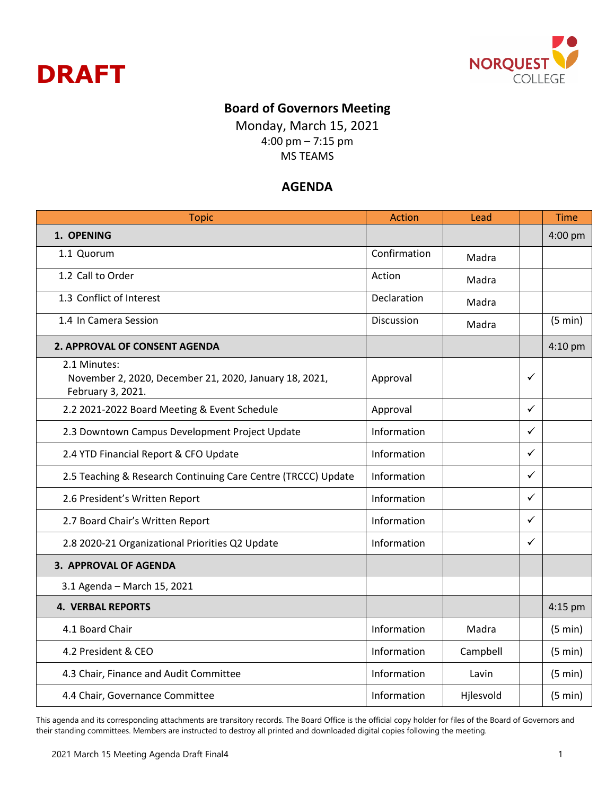



## **Board of Governors Meeting**

Monday, March 15, 2021 4:00 pm – 7:15 pm MS TEAMS

## **AGENDA**

| <b>Topic</b>                                                                                | <b>Action</b> | Lead      |              | <b>Time</b> |
|---------------------------------------------------------------------------------------------|---------------|-----------|--------------|-------------|
| 1. OPENING                                                                                  |               |           |              | 4:00 pm     |
| 1.1 Quorum                                                                                  | Confirmation  | Madra     |              |             |
| 1.2 Call to Order                                                                           | Action        | Madra     |              |             |
| 1.3 Conflict of Interest                                                                    | Declaration   | Madra     |              |             |
| 1.4 In Camera Session                                                                       | Discussion    | Madra     |              | (5 min)     |
| 2. APPROVAL OF CONSENT AGENDA                                                               |               |           |              | 4:10 pm     |
| 2.1 Minutes:<br>November 2, 2020, December 21, 2020, January 18, 2021,<br>February 3, 2021. | Approval      |           | ✓            |             |
| 2.2 2021-2022 Board Meeting & Event Schedule                                                | Approval      |           | ✓            |             |
| 2.3 Downtown Campus Development Project Update                                              | Information   |           | ✓            |             |
| 2.4 YTD Financial Report & CFO Update                                                       | Information   |           | $\checkmark$ |             |
| 2.5 Teaching & Research Continuing Care Centre (TRCCC) Update                               | Information   |           | ✓            |             |
| 2.6 President's Written Report                                                              | Information   |           | ✓            |             |
| 2.7 Board Chair's Written Report                                                            | Information   |           | $\checkmark$ |             |
| 2.8 2020-21 Organizational Priorities Q2 Update                                             | Information   |           | ✓            |             |
| <b>3. APPROVAL OF AGENDA</b>                                                                |               |           |              |             |
| 3.1 Agenda - March 15, 2021                                                                 |               |           |              |             |
| <b>4. VERBAL REPORTS</b>                                                                    |               |           |              | $4:15$ pm   |
| 4.1 Board Chair                                                                             | Information   | Madra     |              | (5 min)     |
| 4.2 President & CEO                                                                         | Information   | Campbell  |              | (5 min)     |
| 4.3 Chair, Finance and Audit Committee                                                      | Information   | Lavin     |              | (5 min)     |
| 4.4 Chair, Governance Committee                                                             | Information   | Hjlesvold |              | (5 min)     |

This agenda and its corresponding attachments are transitory records. The Board Office is the official copy holder for files of the Board of Governors and their standing committees. Members are instructed to destroy all printed and downloaded digital copies following the meeting.